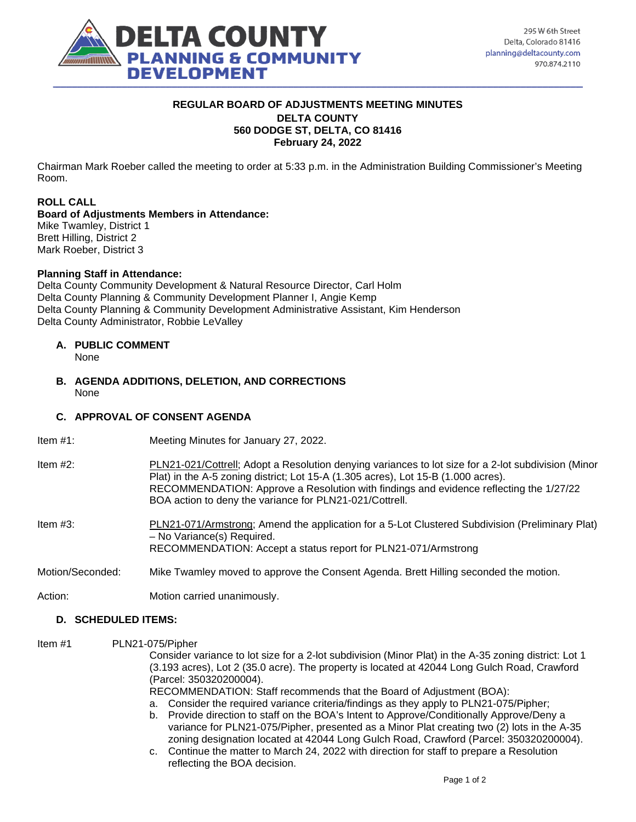

## **REGULAR BOARD OF ADJUSTMENTS MEETING MINUTES DELTA COUNTY 560 DODGE ST, DELTA, CO 81416 February 24, 2022**

Chairman Mark Roeber called the meeting to order at 5:33 p.m. in the Administration Building Commissioner's Meeting Room.

# **ROLL CALL**

## **Board of Adjustments Members in Attendance:**

Mike Twamley, District 1 Brett Hilling, District 2 Mark Roeber, District 3

### **Planning Staff in Attendance:**

Delta County Community Development & Natural Resource Director, Carl Holm Delta County Planning & Community Development Planner I, Angie Kemp Delta County Planning & Community Development Administrative Assistant, Kim Henderson Delta County Administrator, Robbie LeValley

### **A. PUBLIC COMMENT**

None

**B. AGENDA ADDITIONS, DELETION, AND CORRECTIONS**  None

## **C. APPROVAL OF CONSENT AGENDA**

| Item $#1$ : | Meeting Minutes for January 27, 2022. |  |
|-------------|---------------------------------------|--|
|             |                                       |  |

Item #2: PLN21-021/Cottrell; Adopt a Resolution denying variances to lot size for a 2-lot subdivision (Minor Plat) in the A-5 zoning district; Lot 15-A (1.305 acres), Lot 15-B (1.000 acres). RECOMMENDATION: Approve a Resolution with findings and evidence reflecting the 1/27/22 BOA action to deny the variance for PLN21-021/Cottrell.

Item #3: PLN21-071/Armstrong; Amend the application for a 5-Lot Clustered Subdivision (Preliminary Plat) – No Variance(s) Required. RECOMMENDATION: Accept a status report for PLN21-071/Armstrong

Motion/Seconded: Mike Twamley moved to approve the Consent Agenda. Brett Hilling seconded the motion.

Action: Motion carried unanimously.

### **D. SCHEDULED ITEMS:**

Item #1 PLN21-075/Pipher

Consider variance to lot size for a 2-lot subdivision (Minor Plat) in the A-35 zoning district: Lot 1 (3.193 acres), Lot 2 (35.0 acre). The property is located at 42044 Long Gulch Road, Crawford (Parcel: 350320200004).

RECOMMENDATION: Staff recommends that the Board of Adjustment (BOA):

- a. Consider the required variance criteria/findings as they apply to PLN21-075/Pipher;
- b. Provide direction to staff on the BOA's Intent to Approve/Conditionally Approve/Deny a variance for PLN21-075/Pipher, presented as a Minor Plat creating two (2) lots in the A-35 zoning designation located at 42044 Long Gulch Road, Crawford (Parcel: 350320200004).
- c. Continue the matter to March 24, 2022 with direction for staff to prepare a Resolution reflecting the BOA decision.